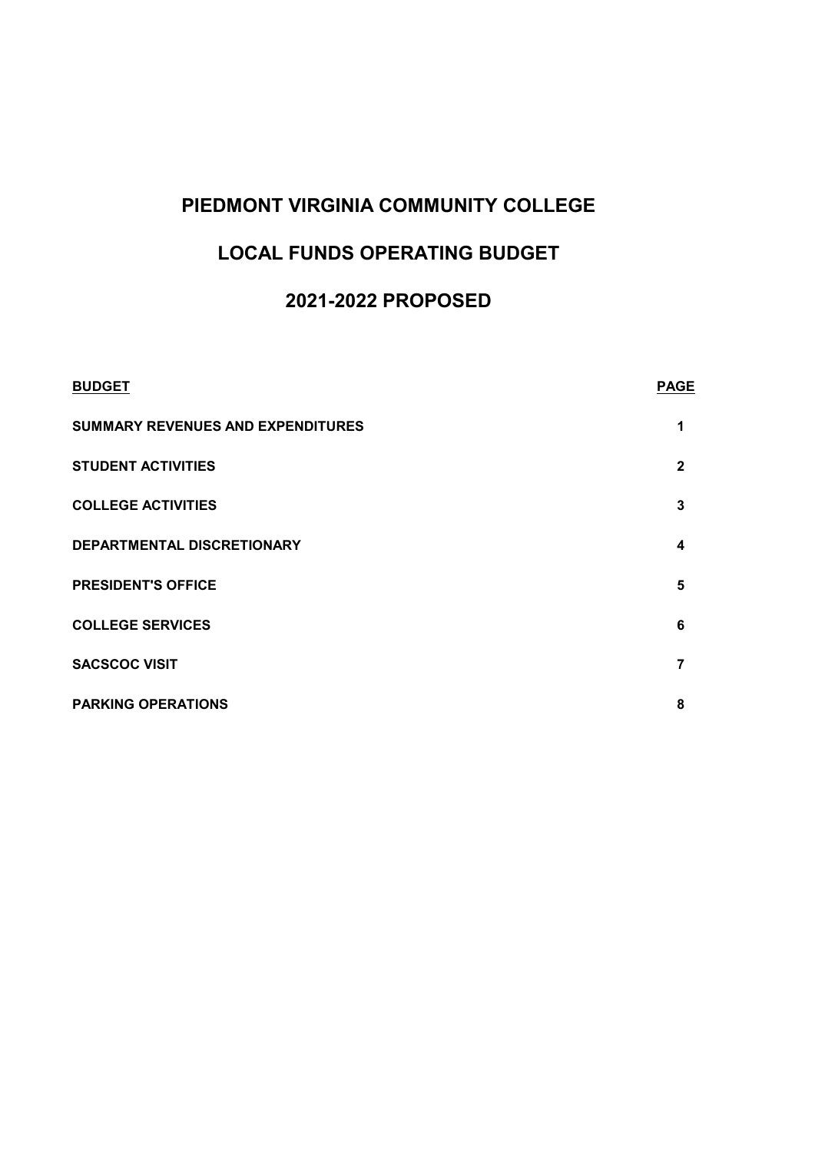### **PIEDMONT VIRGINIA COMMUNITY COLLEGE**

# **LOCAL FUNDS OPERATING BUDGET**

# **2021-2022 PROPOSED**

| <b>BUDGET</b>                            | <b>PAGE</b>  |
|------------------------------------------|--------------|
| <b>SUMMARY REVENUES AND EXPENDITURES</b> | 1            |
| <b>STUDENT ACTIVITIES</b>                | $\mathbf{2}$ |
| <b>COLLEGE ACTIVITIES</b>                | 3            |
| DEPARTMENTAL DISCRETIONARY               | 4            |
| <b>PRESIDENT'S OFFICE</b>                | 5            |
| <b>COLLEGE SERVICES</b>                  | 6            |
| <b>SACSCOC VISIT</b>                     | 7            |
| <b>PARKING OPERATIONS</b>                | 8            |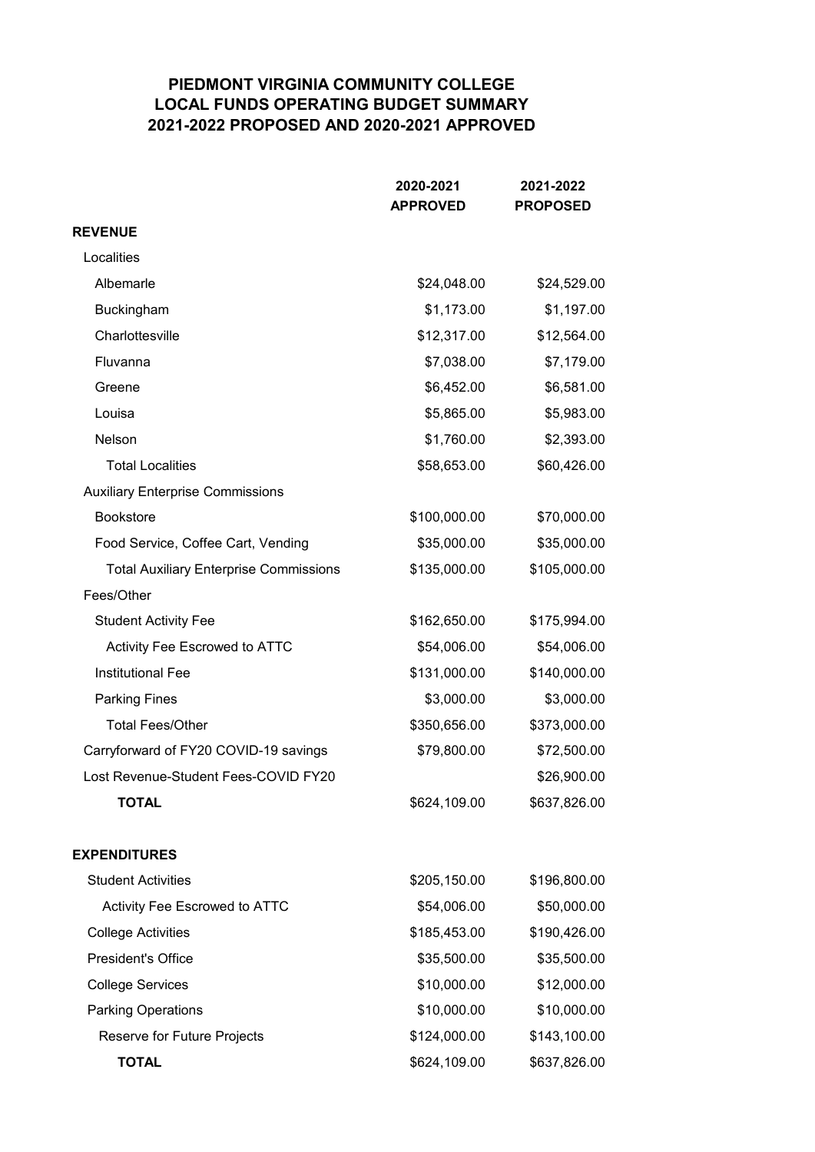#### **PIEDMONT VIRGINIA COMMUNITY COLLEGE LOCAL FUNDS OPERATING BUDGET SUMMARY 2021-2022 PROPOSED AND 2020-2021 APPROVED**

|                                               | 2020-2021<br><b>APPROVED</b> | 2021-2022<br><b>PROPOSED</b> |
|-----------------------------------------------|------------------------------|------------------------------|
| <b>REVENUE</b>                                |                              |                              |
| Localities                                    |                              |                              |
| Albemarle                                     | \$24,048.00                  | \$24,529.00                  |
| Buckingham                                    | \$1,173.00                   | \$1,197.00                   |
| Charlottesville                               | \$12,317.00                  | \$12,564.00                  |
| Fluvanna                                      | \$7,038.00                   | \$7,179.00                   |
| Greene                                        | \$6,452.00                   | \$6,581.00                   |
| Louisa                                        | \$5,865.00                   | \$5,983.00                   |
| Nelson                                        | \$1,760.00                   | \$2,393.00                   |
| <b>Total Localities</b>                       | \$58,653.00                  | \$60,426.00                  |
| <b>Auxiliary Enterprise Commissions</b>       |                              |                              |
| <b>Bookstore</b>                              | \$100,000.00                 | \$70,000.00                  |
| Food Service, Coffee Cart, Vending            | \$35,000.00                  | \$35,000.00                  |
| <b>Total Auxiliary Enterprise Commissions</b> | \$135,000.00                 | \$105,000.00                 |
| Fees/Other                                    |                              |                              |
| <b>Student Activity Fee</b>                   | \$162,650.00                 | \$175,994.00                 |
| Activity Fee Escrowed to ATTC                 | \$54,006.00                  | \$54,006.00                  |
| <b>Institutional Fee</b>                      | \$131,000.00                 | \$140,000.00                 |
| <b>Parking Fines</b>                          | \$3,000.00                   | \$3,000.00                   |
| <b>Total Fees/Other</b>                       | \$350,656.00                 | \$373,000.00                 |
| Carryforward of FY20 COVID-19 savings         | \$79,800.00                  | \$72,500.00                  |
| Lost Revenue-Student Fees-COVID FY20          |                              | \$26,900.00                  |
| <b>TOTAL</b>                                  | \$624,109.00                 | \$637,826.00                 |
| <b>EXPENDITURES</b>                           |                              |                              |
| <b>Student Activities</b>                     | \$205,150.00                 | \$196,800.00                 |
| Activity Fee Escrowed to ATTC                 | \$54,006.00                  | \$50,000.00                  |
| <b>College Activities</b>                     | \$185,453.00                 | \$190,426.00                 |
| <b>President's Office</b>                     | \$35,500.00                  | \$35,500.00                  |
| <b>College Services</b>                       | \$10,000.00                  | \$12,000.00                  |
| <b>Parking Operations</b>                     | \$10,000.00                  | \$10,000.00                  |
| Reserve for Future Projects                   | \$124,000.00                 | \$143,100.00                 |
| <b>TOTAL</b>                                  | \$624,109.00                 | \$637,826.00                 |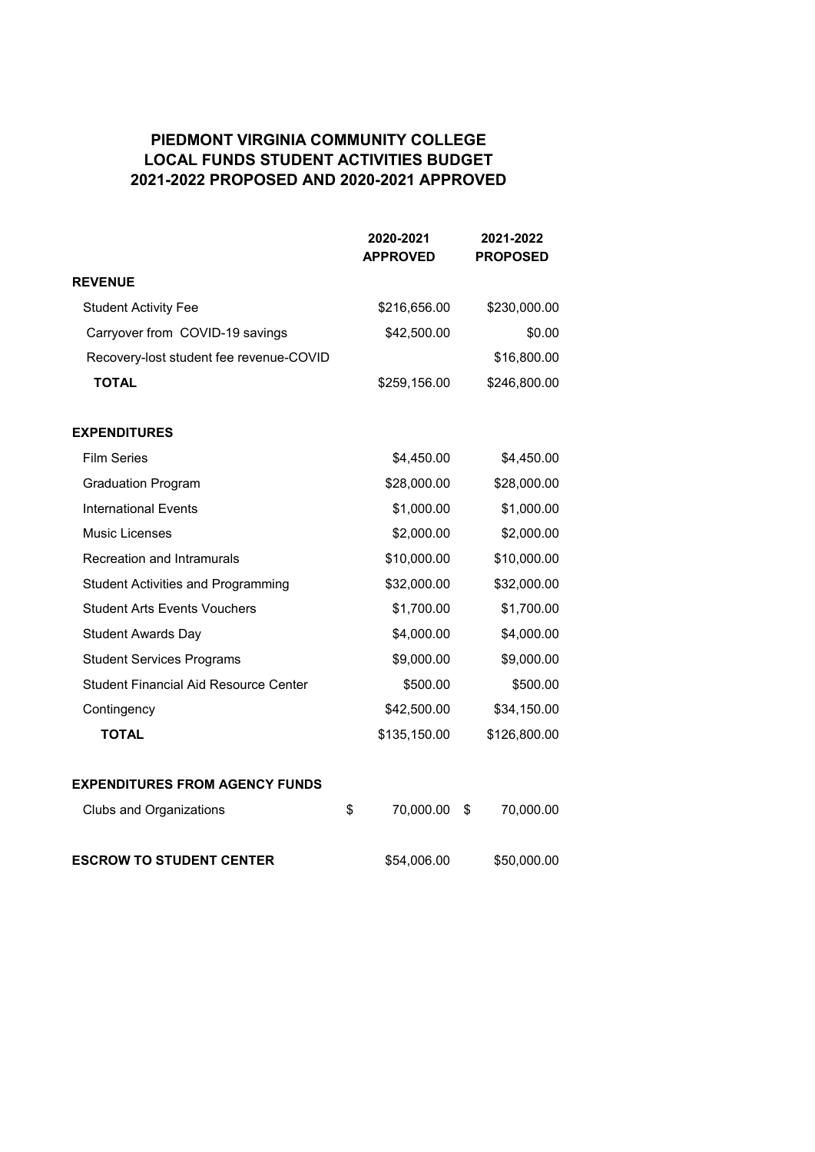#### **PIEDMONT VIRGINIA COMMUNITY COLLEGE LOCAL FUNDS STUDENT ACTIVITIES BUDGET 2021-2022 PROPOSED AND 2020-2021 APPROVED**

|                                              | 2020-2021<br><b>APPROVED</b> | 2021-2022<br><b>PROPOSED</b> |
|----------------------------------------------|------------------------------|------------------------------|
| <b>REVENUE</b>                               |                              |                              |
| <b>Student Activity Fee</b>                  | \$216,656.00                 | \$230,000.00                 |
| Carryover from COVID-19 savings              | \$42,500.00                  | \$0.00                       |
| Recovery-lost student fee revenue-COVID      |                              | \$16,800.00                  |
| <b>TOTAL</b>                                 | \$259,156.00                 | \$246,800.00                 |
| <b>EXPENDITURES</b>                          |                              |                              |
| <b>Film Series</b>                           | \$4,450.00                   | \$4,450.00                   |
| <b>Graduation Program</b>                    | \$28,000.00                  | \$28,000.00                  |
| <b>International Events</b>                  | \$1,000.00                   | \$1,000.00                   |
| <b>Music Licenses</b>                        | \$2,000.00                   | \$2,000.00                   |
| Recreation and Intramurals                   | \$10,000.00                  | \$10,000.00                  |
| <b>Student Activities and Programming</b>    | \$32,000.00                  | \$32,000.00                  |
| <b>Student Arts Events Vouchers</b>          | \$1,700.00                   | \$1,700.00                   |
| <b>Student Awards Day</b>                    | \$4,000.00                   | \$4,000.00                   |
| <b>Student Services Programs</b>             | \$9,000.00                   | \$9,000.00                   |
| <b>Student Financial Aid Resource Center</b> | \$500.00                     | \$500.00                     |
| Contingency                                  | \$42,500.00                  | \$34,150.00                  |
| <b>TOTAL</b>                                 | \$135,150.00                 | \$126,800.00                 |
| <b>EXPENDITURES FROM AGENCY FUNDS</b>        |                              |                              |
| <b>Clubs and Organizations</b>               | 70,000.00<br>\$              | 70,000.00<br>\$              |
| <b>ESCROW TO STUDENT CENTER</b>              | \$54,006.00                  | \$50,000.00                  |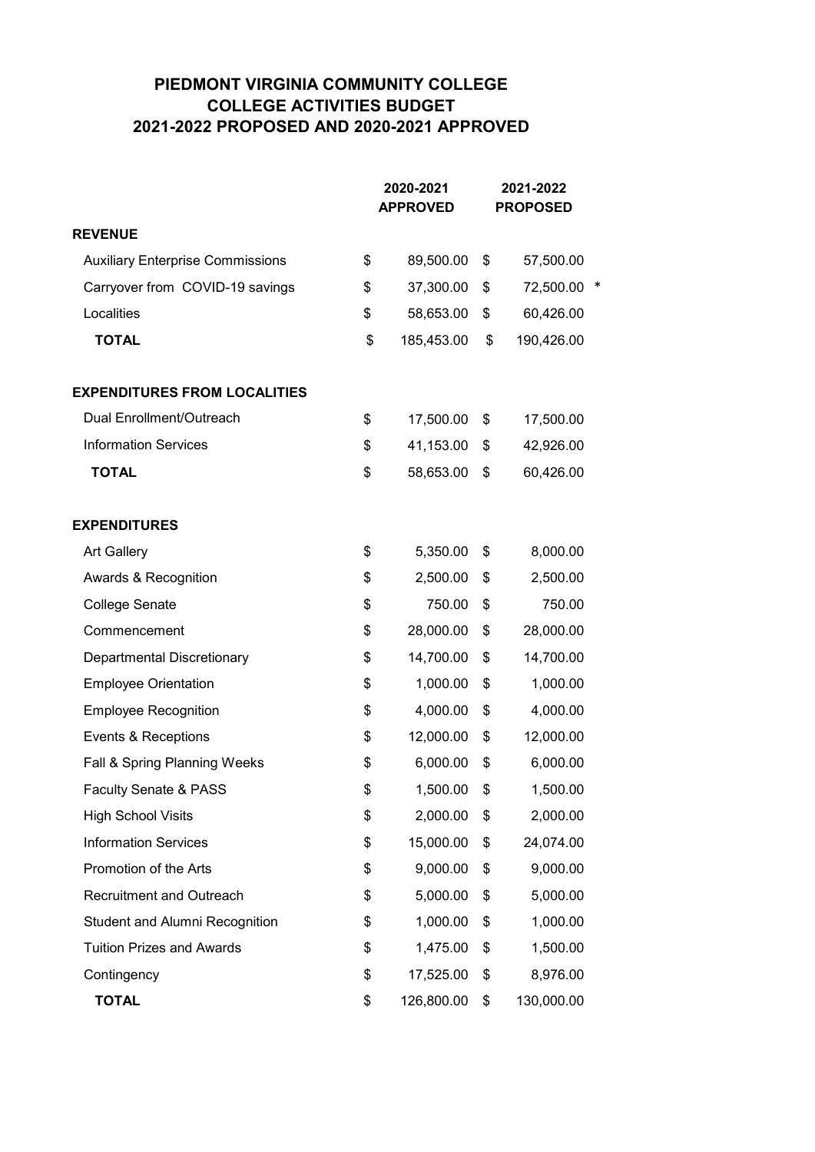#### **PIEDMONT VIRGINIA COMMUNITY COLLEGE COLLEGE ACTIVITIES BUDGET 2021-2022 PROPOSED AND 2020-2021 APPROVED**

|                                         | 2020-2021<br><b>APPROVED</b> | 2021-2022<br><b>PROPOSED</b> |  |
|-----------------------------------------|------------------------------|------------------------------|--|
| <b>REVENUE</b>                          |                              |                              |  |
| <b>Auxiliary Enterprise Commissions</b> | \$<br>89,500.00              | \$<br>57,500.00              |  |
| Carryover from COVID-19 savings         | \$<br>37,300.00              | \$<br>72,500.00              |  |
| Localities                              | \$<br>58,653.00              | \$<br>60,426.00              |  |
| <b>TOTAL</b>                            | \$<br>185,453.00             | \$<br>190,426.00             |  |
| <b>EXPENDITURES FROM LOCALITIES</b>     |                              |                              |  |
| Dual Enrollment/Outreach                | \$<br>17,500.00              | \$<br>17,500.00              |  |
| <b>Information Services</b>             | \$<br>41,153.00              | \$<br>42,926.00              |  |
| <b>TOTAL</b>                            | \$<br>58,653.00              | \$<br>60,426.00              |  |
| <b>EXPENDITURES</b>                     |                              |                              |  |
| <b>Art Gallery</b>                      | \$<br>5,350.00               | \$<br>8,000.00               |  |
| Awards & Recognition                    | \$<br>2,500.00               | \$<br>2,500.00               |  |
| <b>College Senate</b>                   | \$<br>750.00                 | \$<br>750.00                 |  |
| Commencement                            | \$<br>28,000.00              | \$<br>28,000.00              |  |
| Departmental Discretionary              | \$<br>14,700.00              | \$<br>14,700.00              |  |
| <b>Employee Orientation</b>             | \$<br>1,000.00               | \$<br>1,000.00               |  |
| <b>Employee Recognition</b>             | \$<br>4,000.00               | \$<br>4,000.00               |  |
| Events & Receptions                     | \$<br>12,000.00              | \$<br>12,000.00              |  |
| Fall & Spring Planning Weeks            | \$<br>6,000.00               | \$<br>6,000.00               |  |
| Faculty Senate & PASS                   | \$<br>1,500.00               | \$<br>1,500.00               |  |
| <b>High School Visits</b>               | \$<br>2,000.00               | \$<br>2,000.00               |  |
| <b>Information Services</b>             | \$<br>15,000.00              | \$<br>24,074.00              |  |
| Promotion of the Arts                   | \$<br>9,000.00               | \$<br>9,000.00               |  |
| <b>Recruitment and Outreach</b>         | \$<br>5,000.00               | \$<br>5,000.00               |  |
| <b>Student and Alumni Recognition</b>   | \$<br>1,000.00               | \$<br>1,000.00               |  |
| <b>Tuition Prizes and Awards</b>        | \$<br>1,475.00               | \$<br>1,500.00               |  |
| Contingency                             | \$<br>17,525.00              | \$<br>8,976.00               |  |
| <b>TOTAL</b>                            | \$<br>126,800.00             | \$<br>130,000.00             |  |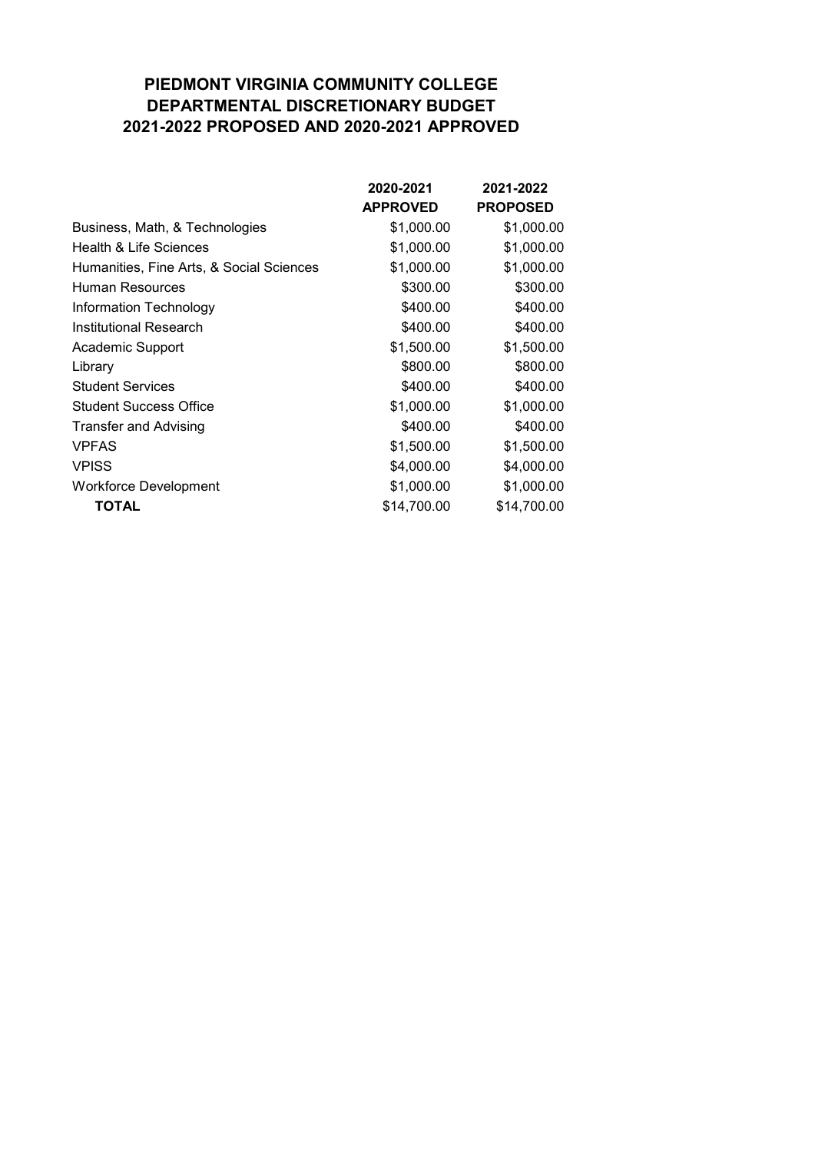### **PIEDMONT VIRGINIA COMMUNITY COLLEGE DEPARTMENTAL DISCRETIONARY BUDGET 2021-2022 PROPOSED AND 2020-2021 APPROVED**

|                                          | 2020-2021       | 2021-2022       |
|------------------------------------------|-----------------|-----------------|
|                                          | <b>APPROVED</b> | <b>PROPOSED</b> |
| Business, Math, & Technologies           | \$1,000.00      | \$1,000.00      |
| Health & Life Sciences                   | \$1,000.00      | \$1,000.00      |
| Humanities, Fine Arts, & Social Sciences | \$1,000.00      | \$1,000.00      |
| Human Resources                          | \$300.00        | \$300.00        |
| Information Technology                   | \$400.00        | \$400.00        |
| Institutional Research                   | \$400.00        | \$400.00        |
| Academic Support                         | \$1,500.00      | \$1,500.00      |
| Library                                  | \$800.00        | \$800.00        |
| <b>Student Services</b>                  | \$400.00        | \$400.00        |
| <b>Student Success Office</b>            | \$1,000.00      | \$1,000.00      |
| <b>Transfer and Advising</b>             | \$400.00        | \$400.00        |
| <b>VPFAS</b>                             | \$1,500.00      | \$1,500.00      |
| <b>VPISS</b>                             | \$4,000.00      | \$4,000.00      |
| <b>Workforce Development</b>             | \$1,000.00      | \$1,000.00      |
| TOTAL                                    | \$14,700.00     | \$14,700.00     |
|                                          |                 |                 |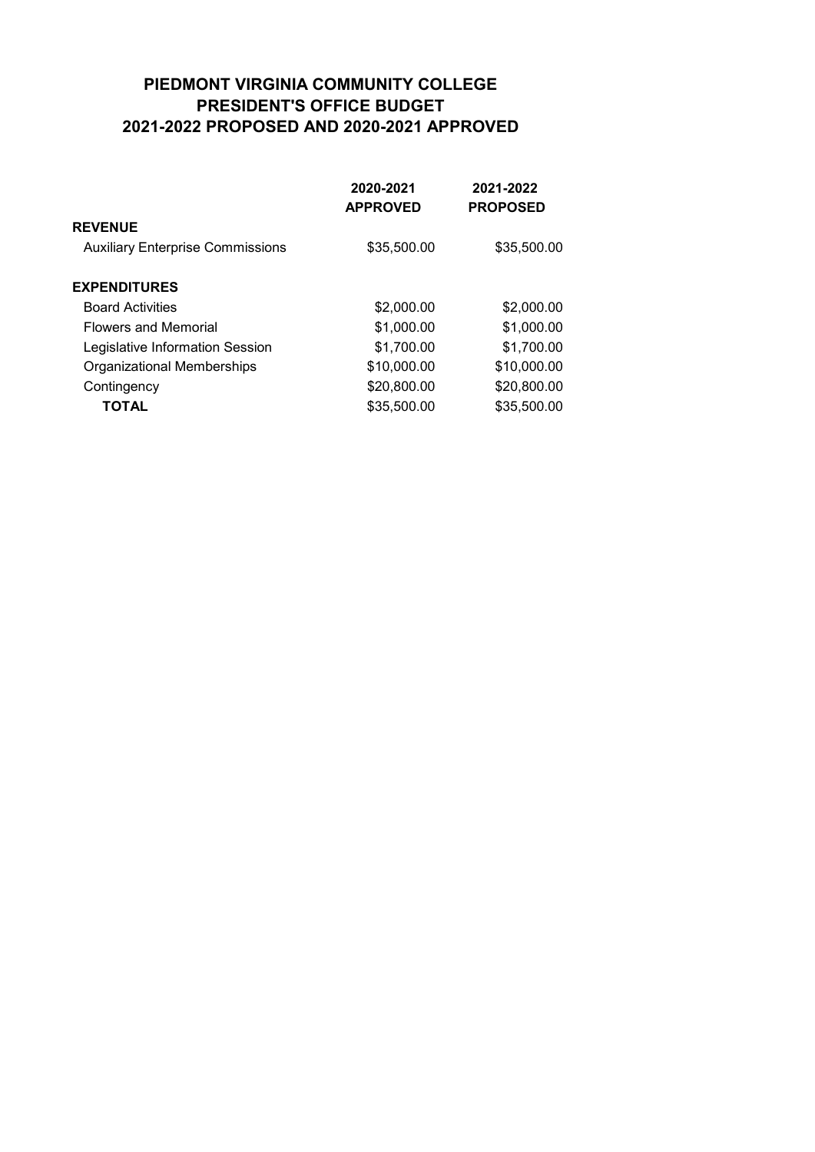#### **PIEDMONT VIRGINIA COMMUNITY COLLEGE PRESIDENT'S OFFICE BUDGET 2021-2022 PROPOSED AND 2020-2021 APPROVED**

|                                         | 2020-2021<br><b>APPROVED</b> | 2021-2022<br><b>PROPOSED</b> |
|-----------------------------------------|------------------------------|------------------------------|
| <b>REVENUE</b>                          |                              |                              |
| <b>Auxiliary Enterprise Commissions</b> | \$35,500.00                  | \$35,500.00                  |
| <b>EXPENDITURES</b>                     |                              |                              |
| <b>Board Activities</b>                 | \$2,000.00                   | \$2,000.00                   |
| <b>Flowers and Memorial</b>             | \$1,000.00                   | \$1,000.00                   |
| Legislative Information Session         | \$1,700.00                   | \$1,700.00                   |
| Organizational Memberships              | \$10,000.00                  | \$10,000.00                  |
| Contingency                             | \$20,800.00                  | \$20,800.00                  |
| <b>TOTAL</b>                            | \$35,500.00                  | \$35,500.00                  |
|                                         |                              |                              |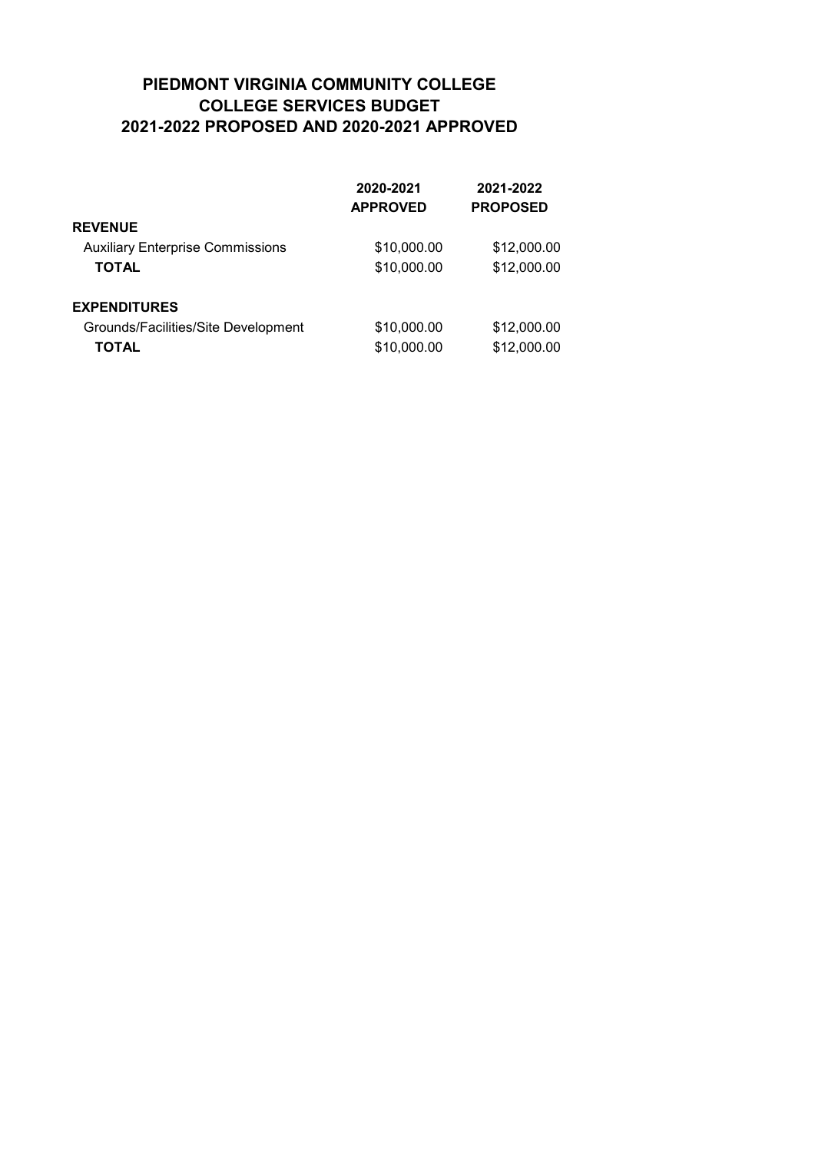#### **PIEDMONT VIRGINIA COMMUNITY COLLEGE COLLEGE SERVICES BUDGET 2021-2022 PROPOSED AND 2020-2021 APPROVED**

|                                         | 2020-2021       | 2021-2022       |
|-----------------------------------------|-----------------|-----------------|
|                                         | <b>APPROVED</b> | <b>PROPOSED</b> |
| <b>REVENUE</b>                          |                 |                 |
| <b>Auxiliary Enterprise Commissions</b> | \$10,000.00     | \$12,000.00     |
| <b>TOTAL</b>                            | \$10,000.00     | \$12,000.00     |
| <b>EXPENDITURES</b>                     |                 |                 |
| Grounds/Facilities/Site Development     | \$10,000.00     | \$12,000.00     |
| TOTAL                                   | \$10,000.00     | \$12,000.00     |